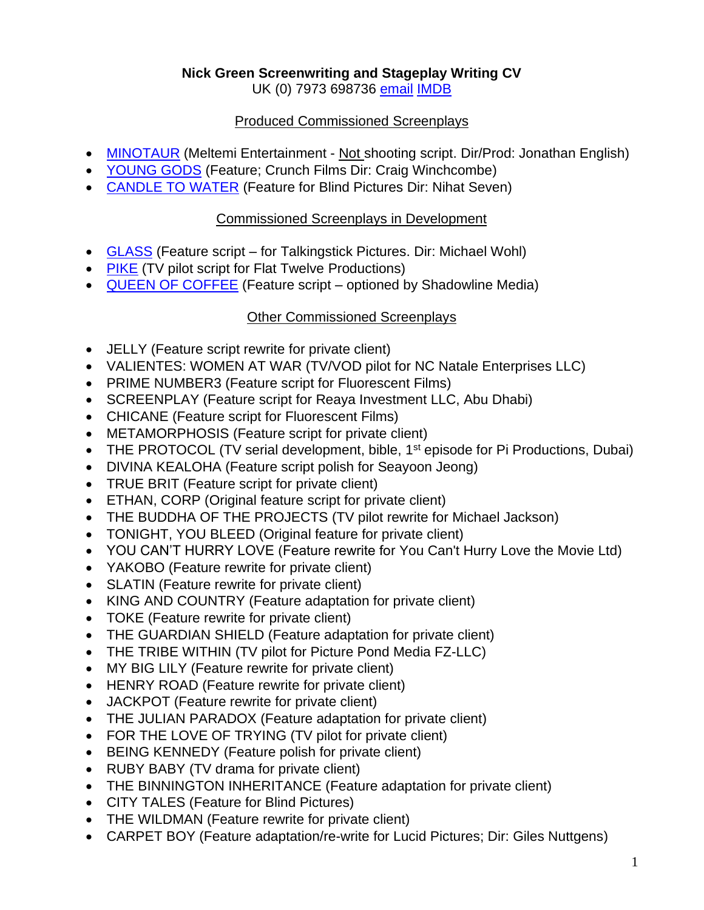## **Nick Green Screenwriting and Stageplay Writing CV**

UK (0) 7973 698736 [email](mailto:nick@filmscreenwriter.net) [IMDB](http://www.imdb.com/name/nm1893547/?ref_=tt_ov_wr)

### Produced Commissioned Screenplays

- [MINOTAUR](http://www.imdb.com/title/tt0415160/?ref_=fn_al_tt_1) (Meltemi Entertainment Not shooting script. Dir/Prod: Jonathan English)
- [YOUNG GODS](http://www.imdb.com/title/tt1746265/?ref_=fn_al_tt_1) (Feature; Crunch Films Dir: Craig Winchcombe)
- [CANDLE TO WATER](http://www.imdb.com/title/tt2387411/?ref_=fn_al_tt_1) (Feature for Blind Pictures Dir: Nihat Seven)

### Commissioned Screenplays in Development

- [GLASS](https://www.imdb.com/title/tt11790116/?ref_=nm_knf_t4) (Feature script for Talkingstick Pictures. Dir: Michael Wohl)
- [PIKE](https://pro.imdb.com/title/tt13029550/?ref_=nm_filmo_projindev_1) (TV pilot script for Flat Twelve Productions)
- [QUEEN OF COFFEE](https://pro.imdb.com/title/tt13349838/?ref_=nm_filmo_projindev_2) (Feature script optioned by Shadowline Media)

## Other Commissioned Screenplays

- JELLY (Feature script rewrite for private client)
- VALIENTES: WOMEN AT WAR (TV/VOD pilot for NC Natale Enterprises LLC)
- PRIME NUMBER3 (Feature script for Fluorescent Films)
- SCREENPLAY (Feature script for Reaya Investment LLC, Abu Dhabi)
- CHICANE (Feature script for Fluorescent Films)
- METAMORPHOSIS (Feature script for private client)
- THE PROTOCOL (TV serial development, bible, 1<sup>st</sup> episode for Pi Productions, Dubai)
- DIVINA KEALOHA (Feature script polish for Seayoon Jeong)
- TRUE BRIT (Feature script for private client)
- ETHAN, CORP (Original feature script for private client)
- THE BUDDHA OF THE PROJECTS (TV pilot rewrite for Michael Jackson)
- TONIGHT, YOU BLEED (Original feature for private client)
- YOU CAN'T HURRY LOVE (Feature rewrite for You Can't Hurry Love the Movie Ltd)
- YAKOBO (Feature rewrite for private client)
- SLATIN (Feature rewrite for private client)
- KING AND COUNTRY (Feature adaptation for private client)
- TOKE (Feature rewrite for private client)
- THE GUARDIAN SHIELD (Feature adaptation for private client)
- THE TRIBE WITHIN (TV pilot for Picture Pond Media FZ-LLC)
- MY BIG LILY (Feature rewrite for private client)
- HENRY ROAD (Feature rewrite for private client)
- JACKPOT (Feature rewrite for private client)
- THE JULIAN PARADOX (Feature adaptation for private client)
- FOR THE LOVE OF TRYING (TV pilot for private client)
- BEING KENNEDY (Feature polish for private client)
- RUBY BABY (TV drama for private client)
- THE BINNINGTON INHERITANCE (Feature adaptation for private client)
- CITY TALES (Feature for Blind Pictures)
- THE WILDMAN (Feature rewrite for private client)
- CARPET BOY (Feature adaptation/re-write for Lucid Pictures; Dir: Giles Nuttgens)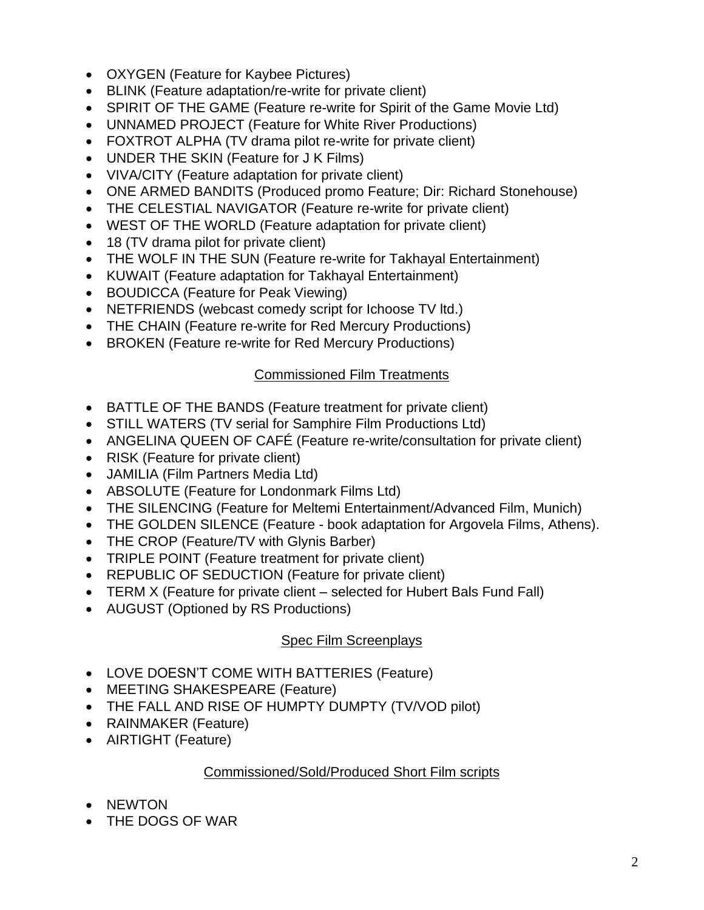- OXYGEN (Feature for Kaybee Pictures)
- BLINK (Feature adaptation/re-write for private client)
- SPIRIT OF THE GAME (Feature re-write for Spirit of the Game Movie Ltd)
- UNNAMED PROJECT (Feature for White River Productions)
- FOXTROT ALPHA (TV drama pilot re-write for private client)
- UNDER THE SKIN (Feature for J K Films)
- VIVA/CITY (Feature adaptation for private client)
- ONE ARMED BANDITS (Produced promo Feature; Dir: Richard Stonehouse)
- THE CELESTIAL NAVIGATOR (Feature re-write for private client)
- WEST OF THE WORLD (Feature adaptation for private client)
- 18 (TV drama pilot for private client)
- THE WOLF IN THE SUN (Feature re-write for Takhayal Entertainment)
- KUWAIT (Feature adaptation for Takhayal Entertainment)
- BOUDICCA (Feature for Peak Viewing)
- NETFRIENDS (webcast comedy script for Ichoose TV ltd.)
- THE CHAIN (Feature re-write for Red Mercury Productions)
- BROKEN (Feature re-write for Red Mercury Productions)

# Commissioned Film Treatments

- BATTLE OF THE BANDS (Feature treatment for private client)
- STILL WATERS (TV serial for Samphire Film Productions Ltd)
- ANGELINA QUEEN OF CAFÉ (Feature re-write/consultation for private client)
- RISK (Feature for private client)
- JAMILIA (Film Partners Media Ltd)
- ABSOLUTE (Feature for Londonmark Films Ltd)
- THE SILENCING (Feature for Meltemi Entertainment/Advanced Film, Munich)
- THE GOLDEN SILENCE (Feature book adaptation for Argovela Films, Athens).
- THE CROP (Feature/TV with Glynis Barber)
- TRIPLE POINT (Feature treatment for private client)
- REPUBLIC OF SEDUCTION (Feature for private client)
- TERM X (Feature for private client selected for Hubert Bals Fund Fall)
- AUGUST (Optioned by RS Productions)

# Spec Film Screenplays

- LOVE DOESN'T COME WITH BATTERIES (Feature)
- MEETING SHAKESPEARE (Feature)
- THE FALL AND RISE OF HUMPTY DUMPTY (TV/VOD pilot)
- RAINMAKER (Feature)
- AIRTIGHT (Feature)

# Commissioned/Sold/Produced Short Film scripts

- NEWTON
- THE DOGS OF WAR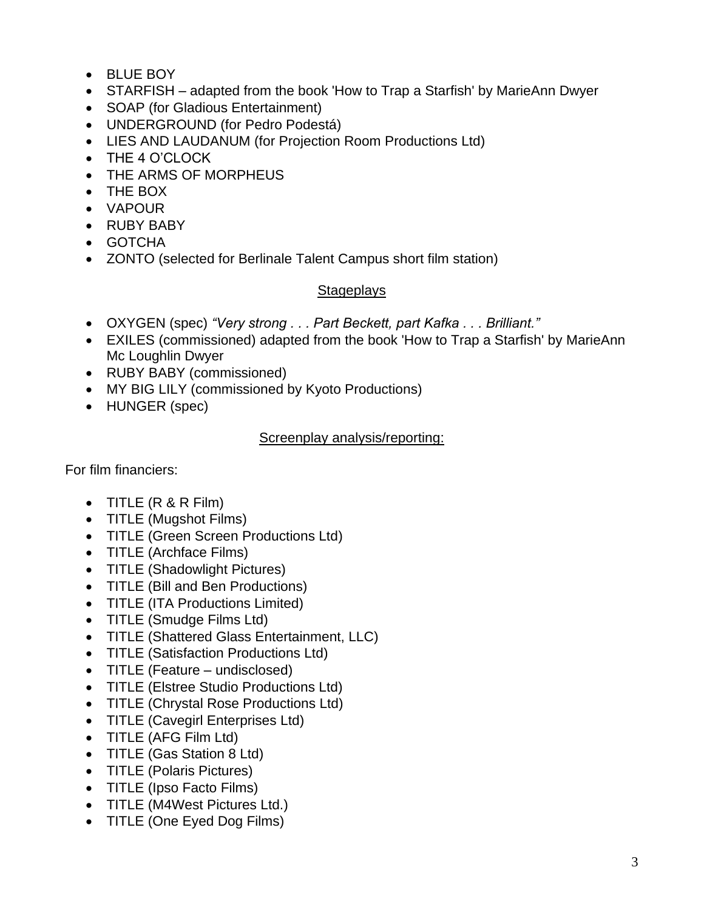- BLUE BOY
- STARFISH adapted from the book 'How to Trap a Starfish' by MarieAnn Dwyer
- SOAP (for Gladious Entertainment)
- UNDERGROUND (for Pedro Podestá)
- LIES AND LAUDANUM (for Projection Room Productions Ltd)
- THE 4 O'CLOCK
- THE ARMS OF MORPHEUS
- THE BOX
- VAPOUR
- RUBY BABY
- GOTCHA
- ZONTO (selected for Berlinale Talent Campus short film station)

### **Stageplays**

- OXYGEN (spec) *"Very strong . . . Part Beckett, part Kafka . . . Brilliant."*
- EXILES (commissioned) adapted from the book 'How to Trap a Starfish' by MarieAnn Mc Loughlin Dwyer
- RUBY BABY (commissioned)
- MY BIG LILY (commissioned by Kyoto Productions)
- HUNGER (spec)

### Screenplay analysis/reporting:

For film financiers:

- TITLE (R & R Film)
- TITLE (Mugshot Films)
- TITLE (Green Screen Productions Ltd)
- TITLE (Archface Films)
- TITLE (Shadowlight Pictures)
- TITLE (Bill and Ben Productions)
- TITLE (ITA Productions Limited)
- TITLE (Smudge Films Ltd)
- TITLE (Shattered Glass Entertainment, LLC)
- TITLE (Satisfaction Productions Ltd)
- TITLE (Feature undisclosed)
- TITLE (Elstree Studio Productions Ltd)
- TITLE (Chrystal Rose Productions Ltd)
- TITLE (Cavegirl Enterprises Ltd)
- TITLE (AFG Film Ltd)
- TITLE (Gas Station 8 Ltd)
- TITLE (Polaris Pictures)
- TITLE (Ipso Facto Films)
- TITLE (M4West Pictures Ltd.)
- TITLE (One Eyed Dog Films)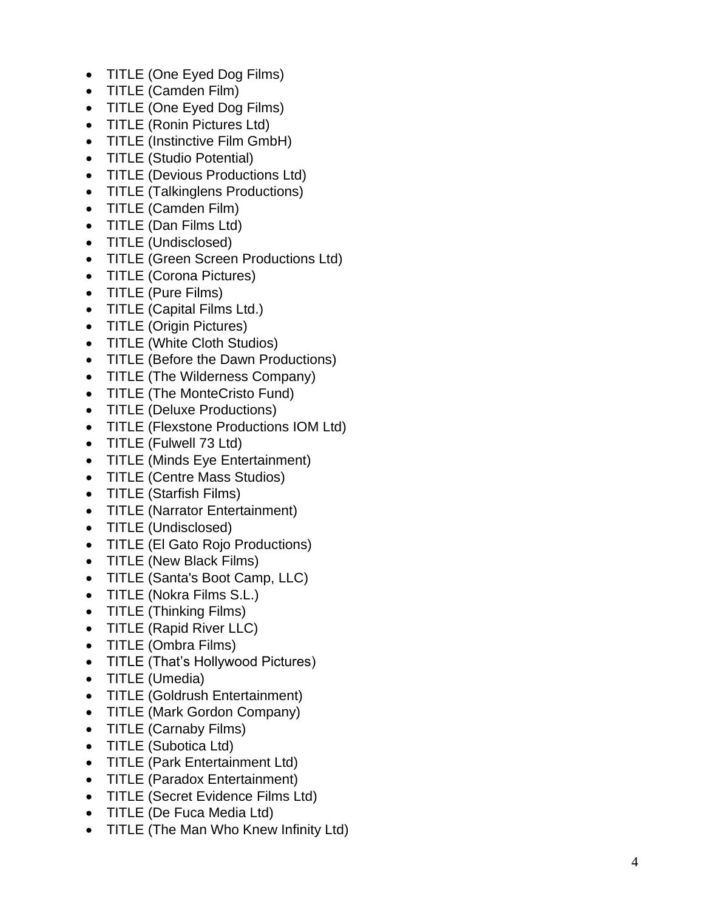- TITLE (One Eyed Dog Films)
- TITLE (Camden Film)
- TITLE (One Eyed Dog Films)
- TITLE (Ronin Pictures Ltd)
- TITLE (Instinctive Film GmbH)
- TITLE (Studio Potential)
- TITLE (Devious Productions Ltd)
- TITLE (Talkinglens Productions)
- TITLE (Camden Film)
- TITLE (Dan Films Ltd)
- TITLE (Undisclosed)
- TITLE (Green Screen Productions Ltd)
- TITLE (Corona Pictures)
- TITLE (Pure Films)
- TITLE (Capital Films Ltd.)
- TITLE (Origin Pictures)
- TITLE (White Cloth Studios)
- TITLE (Before the Dawn Productions)
- TITLE (The Wilderness Company)
- TITLE (The MonteCristo Fund)
- TITLE (Deluxe Productions)
- TITLE (Flexstone Productions IOM Ltd)
- TITLE (Fulwell 73 Ltd)
- TITLE (Minds Eye Entertainment)
- TITLE (Centre Mass Studios)
- TITLE (Starfish Films)
- TITLE (Narrator Entertainment)
- TITLE (Undisclosed)
- TITLE (El Gato Rojo Productions)
- TITLE (New Black Films)
- TITLE (Santa's Boot Camp, LLC)
- TITLE (Nokra Films S.L.)
- TITLE (Thinking Films)
- TITLE (Rapid River LLC)
- TITLE (Ombra Films)
- TITLE (That's Hollywood Pictures)
- TITLE (Umedia)
- TITLE (Goldrush Entertainment)
- TITLE (Mark Gordon Company)
- TITLE (Carnaby Films)
- TITLE (Subotica Ltd)
- TITLE (Park Entertainment Ltd)
- TITLE (Paradox Entertainment)
- TITLE (Secret Evidence Films Ltd)
- TITLE (De Fuca Media Ltd)
- TITLE (The Man Who Knew Infinity Ltd)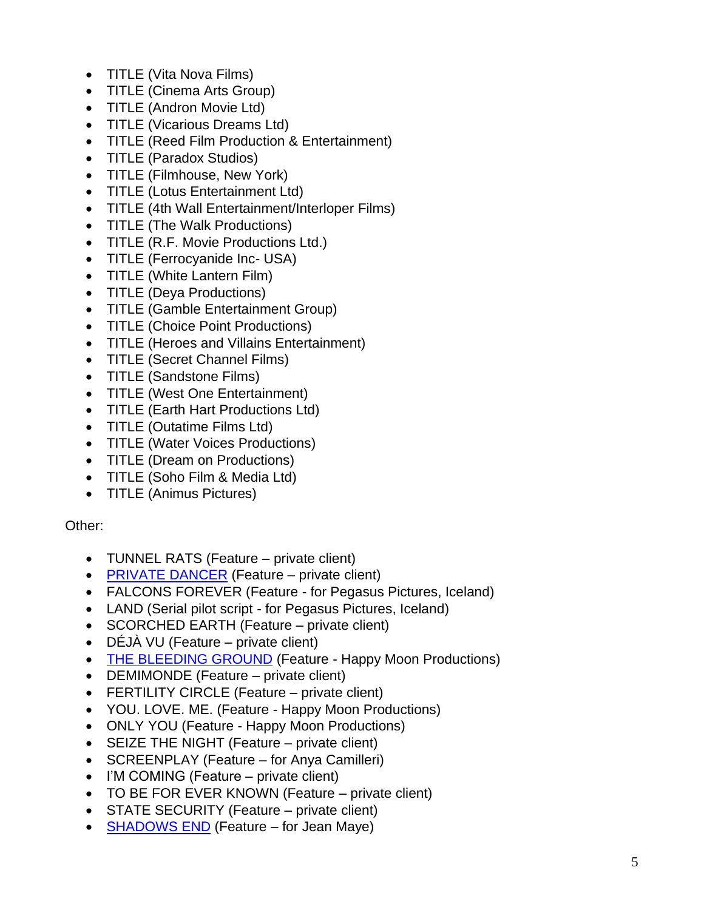- TITLE (Vita Nova Films)
- TITLE (Cinema Arts Group)
- TITLE (Andron Movie Ltd)
- TITLE (Vicarious Dreams Ltd)
- TITLE (Reed Film Production & Entertainment)
- TITLE (Paradox Studios)
- TITLE (Filmhouse, New York)
- TITLE (Lotus Entertainment Ltd)
- TITLE (4th Wall Entertainment/Interloper Films)
- TITLE (The Walk Productions)
- TITLE (R.F. Movie Productions Ltd.)
- TITLE (Ferrocyanide Inc- USA)
- TITLE (White Lantern Film)
- TITLE (Deya Productions)
- TITLE (Gamble Entertainment Group)
- TITLE (Choice Point Productions)
- TITLE (Heroes and Villains Entertainment)
- TITLE (Secret Channel Films)
- TITLE (Sandstone Films)
- TITLE (West One Entertainment)
- TITLE (Earth Hart Productions Ltd)
- TITLE (Outatime Films Ltd)
- TITLE (Water Voices Productions)
- TITLE (Dream on Productions)
- TITLE (Soho Film & Media Ltd)
- TITLE (Animus Pictures)

### Other:

- TUNNEL RATS (Feature private client)
- [PRIVATE DANCER](https://www.imdb.com/title/tt19409980/?ref_=nm_knf_t2) (Feature private client)
- FALCONS FOREVER (Feature for Pegasus Pictures, Iceland)
- LAND (Serial pilot script for Pegasus Pictures, Iceland)
- SCORCHED EARTH (Feature private client)
- DÉJÀ VU (Feature private client)
- [THE BLEEDING GROUND](https://www.imdb.com/title/tt15327662/?ref_=adv_li_tt) (Feature Happy Moon Productions)
- DEMIMONDE (Feature private client)
- FERTILITY CIRCLE (Feature private client)
- YOU. LOVE. ME. (Feature Happy Moon Productions)
- ONLY YOU (Feature Happy Moon Productions)
- SEIZE THE NIGHT (Feature private client)
- SCREENPLAY (Feature for Anya Camilleri)
- I'M COMING (Feature private client)
- TO BE FOR EVER KNOWN (Feature private client)
- STATE SECURITY (Feature private client)
- **[SHADOWS END](https://pro.imdb.com/title/tt3180660/?ref_=search_search_result_1)** (Feature for Jean Maye)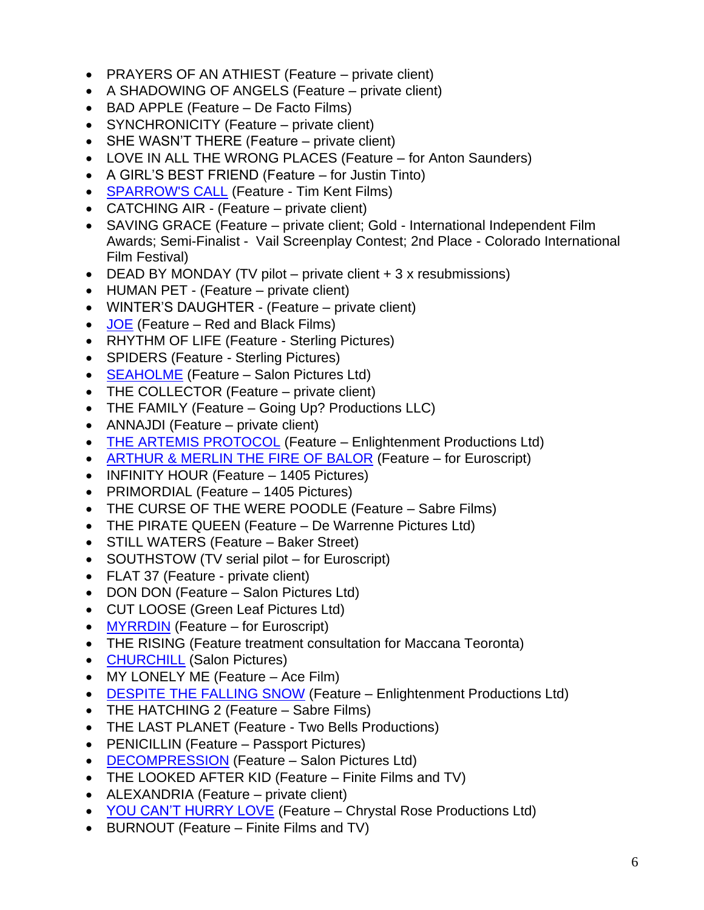- PRAYERS OF AN ATHIEST (Feature private client)
- A SHADOWING OF ANGELS (Feature private client)
- BAD APPLE (Feature De Facto Films)
- SYNCHRONICITY (Feature private client)
- SHE WASN'T THERE (Feature private client)
- LOVE IN ALL THE WRONG PLACES (Feature for Anton Saunders)
- A GIRL'S BEST FRIEND (Feature for Justin Tinto)
- **[SPARROW'S CALL](https://pro.imdb.com/title/tt4794006/?ref_=search_search_result_1) (Feature Tim Kent Films)**
- CATCHING AIR (Feature private client)
- SAVING GRACE (Feature private client; Gold International Independent Film Awards; Semi-Finalist - Vail Screenplay Contest; 2nd Place - Colorado International Film Festival)
- DEAD BY MONDAY (TV pilot private client + 3 x resubmissions)
- HUMAN PET (Feature private client)
- WINTER'S DAUGHTER (Feature private client)
- $\bullet$  [JOE](https://pro.imdb.com/title/tt4273334/?ref_=co_filmo_projindev_5) (Feature Red and Black Films)
- RHYTHM OF LIFE (Feature Sterling Pictures)
- SPIDERS (Feature Sterling Pictures)
- **[SEAHOLME](http://www.imdb.com/title/tt4644924/?ref_=fn_al_tt_1)** (Feature Salon Pictures Ltd)
- THE COLLECTOR (Feature private client)
- THE FAMILY (Feature Going Up? Productions LLC)
- ANNAJDI (Feature private client)
- [THE ARTEMIS PROTOCOL](http://www.imdb.com/title/tt3878078/?ref_=fn_al_tt_1) (Feature Enlightenment Productions Ltd)
- [ARTHUR & MERLIN THE FIRE OF BALOR](http://www.imdb.com/title/tt6924898/) (Feature for Euroscript)
- INFINITY HOUR (Feature 1405 Pictures)
- PRIMORDIAL (Feature 1405 Pictures)
- THE CURSE OF THE WERE POODLE (Feature Sabre Films)
- THE PIRATE QUEEN (Feature De Warrenne Pictures Ltd)
- STILL WATERS (Feature Baker Street)
- SOUTHSTOW (TV serial pilot for Euroscript)
- FLAT 37 (Feature private client)
- DON DON (Feature Salon Pictures Ltd)
- CUT LOOSE (Green Leaf Pictures Ltd)
- [MYRRDIN](http://www.imdb.com/title/tt4065340/?ref_=nm_flmg_dr_2) (Feature for Euroscript)
- THE RISING (Feature treatment consultation for Maccana Teoronta)
- [CHURCHILL](https://www.imdb.com/title/tt2674454/?ref_=nm_flmg_prd_24) (Salon Pictures)
- MY LONELY ME (Feature Ace Film)
- [DESPITE THE FALLING SNOW](http://www.imdb.com/title/tt2474932/?ref_=nm_flmg_act_2) (Feature Enlightenment Productions Ltd)
- THE HATCHING 2 (Feature Sabre Films)
- THE LAST PLANET (Feature Two Bells Productions)
- PENICILLIN (Feature Passport Pictures)
- [DECOMPRESSION](http://www.imdb.com/title/tt2859566/?ref_=nm_flmg_prd_6) (Feature Salon Pictures Ltd)
- THE LOOKED AFTER KID (Feature Finite Films and TV)
- ALEXANDRIA (Feature private client)
- [YOU CAN'T HURRY LOVE](http://www.imdb.com/title/tt2099681/?ref_=fn_al_tt_2) (Feature Chrystal Rose Productions Ltd)
- BURNOUT (Feature Finite Films and TV)